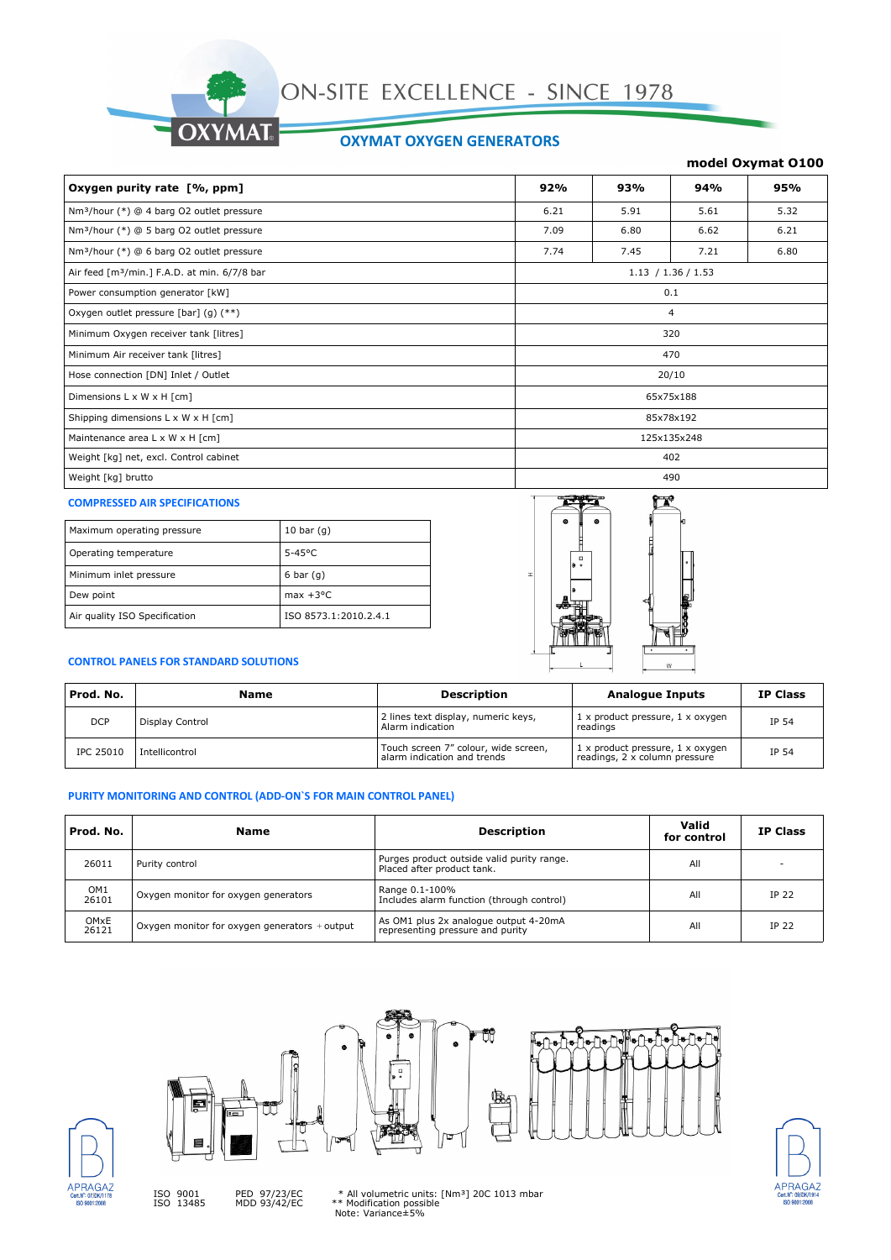

## **OXYMAT OXYGEN GENERATORS**

### **model Oxymat O100**

| Oxygen purity rate [%, ppm]                              | 92%         | 93%  | 94%                | 95%  |
|----------------------------------------------------------|-------------|------|--------------------|------|
| Nm <sup>3</sup> /hour (*) @ 4 barg O2 outlet pressure    | 6.21        | 5.91 | 5.61               | 5.32 |
| Nm <sup>3</sup> /hour (*) @ 5 barg O2 outlet pressure    | 7.09        | 6.80 | 6.62               | 6.21 |
| Nm <sup>3</sup> /hour (*) @ 6 barg O2 outlet pressure    | 7.74        | 7.45 | 7.21               | 6.80 |
| Air feed [m <sup>3</sup> /min.] F.A.D. at min. 6/7/8 bar |             |      | 1.13 / 1.36 / 1.53 |      |
| Power consumption generator [kW]                         | 0.1         |      |                    |      |
| Oxygen outlet pressure [bar] $(g)$ (**)                  | 4           |      |                    |      |
| Minimum Oxygen receiver tank [litres]                    | 320         |      |                    |      |
| Minimum Air receiver tank [litres]                       | 470         |      |                    |      |
| Hose connection [DN] Inlet / Outlet                      | 20/10       |      |                    |      |
| Dimensions L x W x H [cm]                                | 65x75x188   |      |                    |      |
| Shipping dimensions L x W x H [cm]                       | 85x78x192   |      |                    |      |
| Maintenance area L x W x H [cm]                          | 125x135x248 |      |                    |      |
| Weight [kg] net, excl. Control cabinet                   | 402         |      |                    |      |
| Weight [kg] brutto                                       | 490         |      |                    |      |

#### **COMPRESSED AIR SPECIFICATIONS**

| Maximum operating pressure    | 10 bar $(q)$          |
|-------------------------------|-----------------------|
| Operating temperature         | $5-45$ °C             |
| Minimum inlet pressure        | 6 bar $(q)$           |
| Dew point                     | $max + 3^{\circ}C$    |
| Air quality ISO Specification | ISO 8573.1:2010.2.4.1 |



## **CONTROL PANELS FOR STANDARD SOLUTIONS**

| Prod. No.        | Name            | <b>Description</b>                                                  | <b>Analogue Inputs</b>                                            | <b>IP Class</b> |
|------------------|-----------------|---------------------------------------------------------------------|-------------------------------------------------------------------|-----------------|
| <b>DCP</b>       | Display Control | 2 lines text display, numeric keys,<br>Alarm indication             | 1 x product pressure, 1 x oxygen<br>readings                      | IP 54           |
| <b>IPC 25010</b> | Intellicontrol  | Touch screen 7" colour, wide screen,<br>alarm indication and trends | 1 x product pressure, 1 x oxygen<br>readings, 2 x column pressure | IP 54           |

## **PURITY MONITORING AND CONTROL (ADD-ON`S FOR MAIN CONTROL PANEL)**

| Prod. No.                | <b>Name</b>                                     | <b>Description</b>                                                        | Valid<br>for control | <b>IP Class</b> |
|--------------------------|-------------------------------------------------|---------------------------------------------------------------------------|----------------------|-----------------|
| 26011                    | Purity control                                  | Purges product outside valid purity range.<br>Placed after product tank.  | All                  |                 |
| OM <sub>1</sub><br>26101 | Oxygen monitor for oxygen generators            | Range 0.1-100%<br>Includes alarm function (through control)               | All                  | IP 22           |
| OMxE<br>26121            | Oxygen monitor for oxygen generators $+$ output | As OM1 plus 2x analogue output 4-20mA<br>representing pressure and purity | All                  | <b>IP 22</b>    |





PED 97/23/EC MDD 93/42/EC

 $\frac{1}{\epsilon}$ 





ISO 9001 ISO 13485

\* All volumetric units: [Nm³] 20C 1013 mbar \*\* Modification possible Note: Variance±5%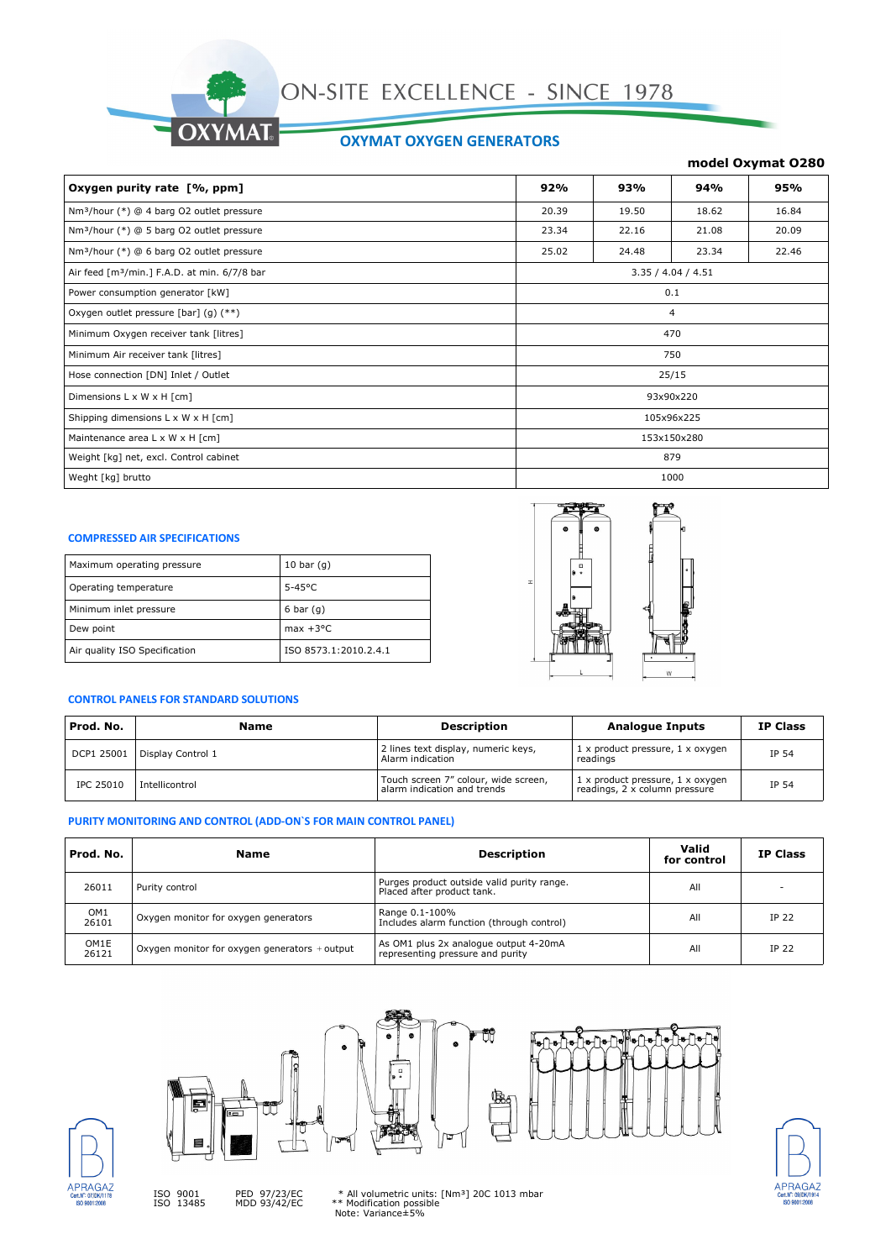

## **OXYMAT OXYGEN GENERATORS**

## **model Oxymat O280**

| Oxygen purity rate [%, ppm]                              | 92%         | 93%   | 94%                | 95%   |
|----------------------------------------------------------|-------------|-------|--------------------|-------|
| Nm <sup>3</sup> /hour (*) @ 4 barg O2 outlet pressure    | 20.39       | 19.50 | 18.62              | 16.84 |
| Nm <sup>3</sup> /hour (*) @ 5 barg O2 outlet pressure    | 23.34       | 22.16 | 21.08              | 20.09 |
| Nm <sup>3</sup> /hour (*) @ 6 barg O2 outlet pressure    | 25.02       | 24.48 | 23.34              | 22.46 |
| Air feed [m <sup>3</sup> /min.] F.A.D. at min. 6/7/8 bar |             |       | 3.35 / 4.04 / 4.51 |       |
| Power consumption generator [kW]                         | 0.1         |       |                    |       |
| Oxygen outlet pressure [bar] (g) (**)                    | 4           |       |                    |       |
| Minimum Oxygen receiver tank [litres]                    | 470         |       |                    |       |
| Minimum Air receiver tank [litres]                       | 750         |       |                    |       |
| Hose connection [DN] Inlet / Outlet                      | 25/15       |       |                    |       |
| Dimensions L x W x H [cm]                                | 93x90x220   |       |                    |       |
| Shipping dimensions L x W x H [cm]                       | 105x96x225  |       |                    |       |
| Maintenance area L x W x H [cm]                          | 153x150x280 |       |                    |       |
| Weight [kg] net, excl. Control cabinet                   | 879         |       |                    |       |
| Weght [kg] brutto                                        |             |       | 1000               |       |

#### **COMPRESSED AIR SPECIFICATIONS**

| Maximum operating pressure    | 10 bar $(q)$          |
|-------------------------------|-----------------------|
| Operating temperature         | $5-45^{\circ}$ C      |
| Minimum inlet pressure        | $6 \text{ bar} (q)$   |
| Dew point                     | $max +3°C$            |
| Air quality ISO Specification | ISO 8573.1:2010.2.4.1 |



## **CONTROL PANELS FOR STANDARD SOLUTIONS**

| Prod. No.        | Name              | <b>Description</b>                                                  | <b>Analogue Inputs</b>                                            | <b>IP Class</b> |
|------------------|-------------------|---------------------------------------------------------------------|-------------------------------------------------------------------|-----------------|
| DCP1 25001       | Display Control 1 | 2 lines text display, numeric keys,<br>Alarm indication             | 1 x product pressure, 1 x oxygen<br>readings                      | IP 54           |
| <b>IPC 25010</b> | Intellicontrol    | Touch screen 7" colour, wide screen,<br>alarm indication and trends | 1 x product pressure, 1 x oxygen<br>readings, 2 x column pressure | IP 54           |

#### **PURITY MONITORING AND CONTROL (ADD-ON`S FOR MAIN CONTROL PANEL)**

| Prod. No.                | Name                                          | <b>Description</b>                                                        | Valid<br>for control | <b>IP Class</b> |
|--------------------------|-----------------------------------------------|---------------------------------------------------------------------------|----------------------|-----------------|
| 26011                    | Purity control                                | Purges product outside valid purity range.<br>Placed after product tank.  | All                  |                 |
| OM <sub>1</sub><br>26101 | Oxygen monitor for oxygen generators          | Range 0.1-100%<br>Includes alarm function (through control)               | All                  | <b>IP 22</b>    |
| OM1E<br>26121            | Oxygen monitor for oxygen generators + output | As OM1 plus 2x analogue output 4-20mA<br>representing pressure and purity | All                  | IP 22           |





ISO 9001 ISO 13485









\* All volumetric units: [Nm³] 20C 1013 mbar \*\* Modification possible Note: Variance±5%